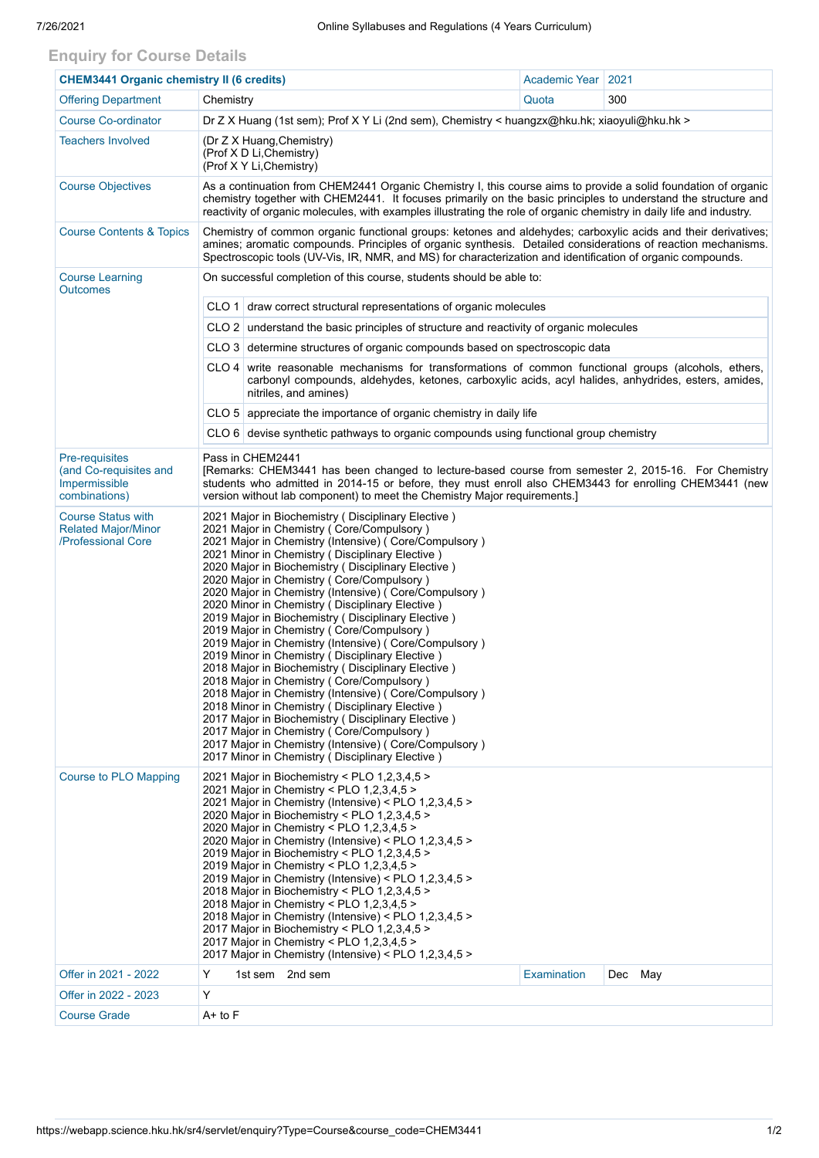## **Enquiry for Course Details**

| <b>CHEM3441 Organic chemistry II (6 credits)</b>                              |                                                                                                                                                                                                                                                                                                                                                                                                                                                                                                                                                                                                                                                                                                                                                                            | Academic Year                                                                                                                                                                                                                                                                                                                                                                                                                                                                                                                                                                                                                                                                                                                                                                                                                                                                                                                                                                                                                                                             | 2021        |         |  |  |  |  |  |  |  |
|-------------------------------------------------------------------------------|----------------------------------------------------------------------------------------------------------------------------------------------------------------------------------------------------------------------------------------------------------------------------------------------------------------------------------------------------------------------------------------------------------------------------------------------------------------------------------------------------------------------------------------------------------------------------------------------------------------------------------------------------------------------------------------------------------------------------------------------------------------------------|---------------------------------------------------------------------------------------------------------------------------------------------------------------------------------------------------------------------------------------------------------------------------------------------------------------------------------------------------------------------------------------------------------------------------------------------------------------------------------------------------------------------------------------------------------------------------------------------------------------------------------------------------------------------------------------------------------------------------------------------------------------------------------------------------------------------------------------------------------------------------------------------------------------------------------------------------------------------------------------------------------------------------------------------------------------------------|-------------|---------|--|--|--|--|--|--|--|
| <b>Offering Department</b>                                                    | Chemistry                                                                                                                                                                                                                                                                                                                                                                                                                                                                                                                                                                                                                                                                                                                                                                  |                                                                                                                                                                                                                                                                                                                                                                                                                                                                                                                                                                                                                                                                                                                                                                                                                                                                                                                                                                                                                                                                           | Quota       | 300     |  |  |  |  |  |  |  |
| <b>Course Co-ordinator</b>                                                    | Dr Z X Huang (1st sem); Prof X Y Li (2nd sem), Chemistry < huangzx@hku.hk; xiaoyuli@hku.hk >                                                                                                                                                                                                                                                                                                                                                                                                                                                                                                                                                                                                                                                                               |                                                                                                                                                                                                                                                                                                                                                                                                                                                                                                                                                                                                                                                                                                                                                                                                                                                                                                                                                                                                                                                                           |             |         |  |  |  |  |  |  |  |
| <b>Teachers Involved</b>                                                      | (Dr Z X Huang, Chemistry)<br>(Prof X D Li, Chemistry)<br>(Prof X Y Li, Chemistry)                                                                                                                                                                                                                                                                                                                                                                                                                                                                                                                                                                                                                                                                                          |                                                                                                                                                                                                                                                                                                                                                                                                                                                                                                                                                                                                                                                                                                                                                                                                                                                                                                                                                                                                                                                                           |             |         |  |  |  |  |  |  |  |
| <b>Course Objectives</b>                                                      |                                                                                                                                                                                                                                                                                                                                                                                                                                                                                                                                                                                                                                                                                                                                                                            | As a continuation from CHEM2441 Organic Chemistry I, this course aims to provide a solid foundation of organic<br>chemistry together with CHEM2441. It focuses primarily on the basic principles to understand the structure and<br>reactivity of organic molecules, with examples illustrating the role of organic chemistry in daily life and industry.                                                                                                                                                                                                                                                                                                                                                                                                                                                                                                                                                                                                                                                                                                                 |             |         |  |  |  |  |  |  |  |
| <b>Course Contents &amp; Topics</b>                                           |                                                                                                                                                                                                                                                                                                                                                                                                                                                                                                                                                                                                                                                                                                                                                                            | Chemistry of common organic functional groups: ketones and aldehydes; carboxylic acids and their derivatives;<br>amines; aromatic compounds. Principles of organic synthesis. Detailed considerations of reaction mechanisms.<br>Spectroscopic tools (UV-Vis, IR, NMR, and MS) for characterization and identification of organic compounds.                                                                                                                                                                                                                                                                                                                                                                                                                                                                                                                                                                                                                                                                                                                              |             |         |  |  |  |  |  |  |  |
| <b>Course Learning</b><br><b>Outcomes</b>                                     | On successful completion of this course, students should be able to:                                                                                                                                                                                                                                                                                                                                                                                                                                                                                                                                                                                                                                                                                                       |                                                                                                                                                                                                                                                                                                                                                                                                                                                                                                                                                                                                                                                                                                                                                                                                                                                                                                                                                                                                                                                                           |             |         |  |  |  |  |  |  |  |
|                                                                               |                                                                                                                                                                                                                                                                                                                                                                                                                                                                                                                                                                                                                                                                                                                                                                            | $CLO 1$ draw correct structural representations of organic molecules                                                                                                                                                                                                                                                                                                                                                                                                                                                                                                                                                                                                                                                                                                                                                                                                                                                                                                                                                                                                      |             |         |  |  |  |  |  |  |  |
|                                                                               |                                                                                                                                                                                                                                                                                                                                                                                                                                                                                                                                                                                                                                                                                                                                                                            | CLO 2 understand the basic principles of structure and reactivity of organic molecules                                                                                                                                                                                                                                                                                                                                                                                                                                                                                                                                                                                                                                                                                                                                                                                                                                                                                                                                                                                    |             |         |  |  |  |  |  |  |  |
|                                                                               |                                                                                                                                                                                                                                                                                                                                                                                                                                                                                                                                                                                                                                                                                                                                                                            | CLO 3 determine structures of organic compounds based on spectroscopic data                                                                                                                                                                                                                                                                                                                                                                                                                                                                                                                                                                                                                                                                                                                                                                                                                                                                                                                                                                                               |             |         |  |  |  |  |  |  |  |
|                                                                               |                                                                                                                                                                                                                                                                                                                                                                                                                                                                                                                                                                                                                                                                                                                                                                            | CLO 4 write reasonable mechanisms for transformations of common functional groups (alcohols, ethers,<br>carbonyl compounds, aldehydes, ketones, carboxylic acids, acyl halides, anhydrides, esters, amides,<br>nitriles, and amines)                                                                                                                                                                                                                                                                                                                                                                                                                                                                                                                                                                                                                                                                                                                                                                                                                                      |             |         |  |  |  |  |  |  |  |
|                                                                               |                                                                                                                                                                                                                                                                                                                                                                                                                                                                                                                                                                                                                                                                                                                                                                            | CLO $5$ appreciate the importance of organic chemistry in daily life                                                                                                                                                                                                                                                                                                                                                                                                                                                                                                                                                                                                                                                                                                                                                                                                                                                                                                                                                                                                      |             |         |  |  |  |  |  |  |  |
|                                                                               |                                                                                                                                                                                                                                                                                                                                                                                                                                                                                                                                                                                                                                                                                                                                                                            | $CLO 6$ devise synthetic pathways to organic compounds using functional group chemistry                                                                                                                                                                                                                                                                                                                                                                                                                                                                                                                                                                                                                                                                                                                                                                                                                                                                                                                                                                                   |             |         |  |  |  |  |  |  |  |
| Pre-requisites<br>(and Co-requisites and<br>Impermissible<br>combinations)    | Pass in CHEM2441<br>[Remarks: CHEM3441 has been changed to lecture-based course from semester 2, 2015-16. For Chemistry<br>students who admitted in 2014-15 or before, they must enroll also CHEM3443 for enrolling CHEM3441 (new<br>version without lab component) to meet the Chemistry Major requirements.                                                                                                                                                                                                                                                                                                                                                                                                                                                              |                                                                                                                                                                                                                                                                                                                                                                                                                                                                                                                                                                                                                                                                                                                                                                                                                                                                                                                                                                                                                                                                           |             |         |  |  |  |  |  |  |  |
| <b>Course Status with</b><br><b>Related Major/Minor</b><br>/Professional Core |                                                                                                                                                                                                                                                                                                                                                                                                                                                                                                                                                                                                                                                                                                                                                                            | 2021 Major in Biochemistry (Disciplinary Elective)<br>2021 Major in Chemistry (Core/Compulsory)<br>2021 Major in Chemistry (Intensive) (Core/Compulsory)<br>2021 Minor in Chemistry (Disciplinary Elective)<br>2020 Major in Biochemistry (Disciplinary Elective)<br>2020 Major in Chemistry (Core/Compulsory)<br>2020 Major in Chemistry (Intensive) ( Core/Compulsory )<br>2020 Minor in Chemistry (Disciplinary Elective)<br>2019 Major in Biochemistry (Disciplinary Elective)<br>2019 Major in Chemistry (Core/Compulsory)<br>2019 Major in Chemistry (Intensive) (Core/Compulsory)<br>2019 Minor in Chemistry (Disciplinary Elective)<br>2018 Major in Biochemistry (Disciplinary Elective)<br>2018 Major in Chemistry (Core/Compulsory)<br>2018 Major in Chemistry (Intensive) (Core/Compulsory)<br>2018 Minor in Chemistry (Disciplinary Elective)<br>2017 Major in Biochemistry (Disciplinary Elective)<br>2017 Major in Chemistry (Core/Compulsory)<br>2017 Major in Chemistry (Intensive) (Core/Compulsory)<br>2017 Minor in Chemistry (Disciplinary Elective) |             |         |  |  |  |  |  |  |  |
| Course to PLO Mapping                                                         | 2021 Major in Biochemistry < PLO 1,2,3,4,5 ><br>2021 Major in Chemistry < PLO 1,2,3,4,5 ><br>2021 Major in Chemistry (Intensive) < PLO 1,2,3,4,5 ><br>2020 Major in Biochemistry < PLO 1,2,3,4,5 ><br>2020 Major in Chemistry < PLO 1,2,3,4,5 ><br>2020 Major in Chemistry (Intensive) < PLO 1,2,3,4,5 ><br>2019 Major in Biochemistry < PLO 1,2,3,4,5 ><br>2019 Major in Chemistry < PLO 1,2,3,4,5 ><br>2019 Major in Chemistry (Intensive) < PLO 1,2,3,4,5 ><br>2018 Major in Biochemistry < PLO 1,2,3,4,5 ><br>2018 Major in Chemistry < PLO 1,2,3,4,5 ><br>2018 Major in Chemistry (Intensive) < PLO 1,2,3,4,5 ><br>2017 Major in Biochemistry < PLO 1,2,3,4,5 ><br>2017 Major in Chemistry < PLO 1,2,3,4,5 ><br>2017 Major in Chemistry (Intensive) < PLO 1,2,3,4,5 > |                                                                                                                                                                                                                                                                                                                                                                                                                                                                                                                                                                                                                                                                                                                                                                                                                                                                                                                                                                                                                                                                           |             |         |  |  |  |  |  |  |  |
| Offer in 2021 - 2022                                                          | Y                                                                                                                                                                                                                                                                                                                                                                                                                                                                                                                                                                                                                                                                                                                                                                          | 1st sem 2nd sem                                                                                                                                                                                                                                                                                                                                                                                                                                                                                                                                                                                                                                                                                                                                                                                                                                                                                                                                                                                                                                                           | Examination | Dec May |  |  |  |  |  |  |  |
| Offer in 2022 - 2023                                                          | Υ                                                                                                                                                                                                                                                                                                                                                                                                                                                                                                                                                                                                                                                                                                                                                                          |                                                                                                                                                                                                                                                                                                                                                                                                                                                                                                                                                                                                                                                                                                                                                                                                                                                                                                                                                                                                                                                                           |             |         |  |  |  |  |  |  |  |
| <b>Course Grade</b>                                                           | $A+$ to $F$                                                                                                                                                                                                                                                                                                                                                                                                                                                                                                                                                                                                                                                                                                                                                                |                                                                                                                                                                                                                                                                                                                                                                                                                                                                                                                                                                                                                                                                                                                                                                                                                                                                                                                                                                                                                                                                           |             |         |  |  |  |  |  |  |  |